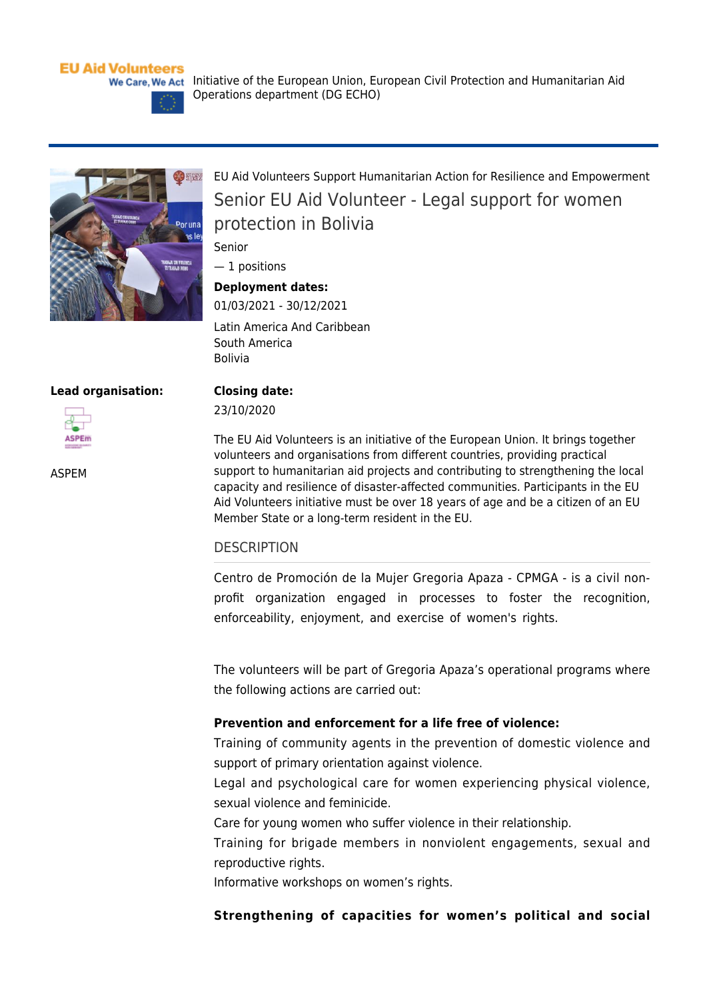# **EU Aid Volunteers**



**B** sregor Por una

[EU Aid Volunteers Support Humanitarian Action for Resilience and Empowerment](https://webgate.ec.europa.eu/echo/eu-aid-volunteers_en/eu-aid-volunteers-support-humanitarian-action-resilience-and-empowerment_en) Senior EU Aid Volunteer - Legal support for women protection in Bolivia

Senior

— 1 positions

# **Deployment dates:**

01/03/2021 - 30/12/2021 Latin America And Caribbean South America Bolivia

Operations department (DG ECHO)

#### **Lead organisation:**



[ASPEM](https://webgate.ec.europa.eu/echo/eu-aid-volunteers_en/aspem_en)

**Closing date:**  23/10/2020

The EU Aid Volunteers is an initiative of the European Union. It brings together volunteers and organisations from different countries, providing practical support to humanitarian aid projects and contributing to strengthening the local capacity and resilience of disaster-affected communities. Participants in the EU Aid Volunteers initiative must be over 18 years of age and be a citizen of an EU Member State or a long-term resident in the EU.

### **DESCRIPTION**

Centro de Promoción de la Mujer Gregoria Apaza - CPMGA - is a civil nonprofit organization engaged in processes to foster the recognition, enforceability, enjoyment, and exercise of women's rights.

The volunteers will be part of Gregoria Apaza's operational programs where the following actions are carried out:

# **Prevention and enforcement for a life free of violence:**

Training of community agents in the prevention of domestic violence and support of primary orientation against violence.

Legal and psychological care for women experiencing physical violence, sexual violence and feminicide.

Care for young women who suffer violence in their relationship.

Training for brigade members in nonviolent engagements, sexual and reproductive rights.

Informative workshops on women's rights.

### **Strengthening of capacities for women's political and social**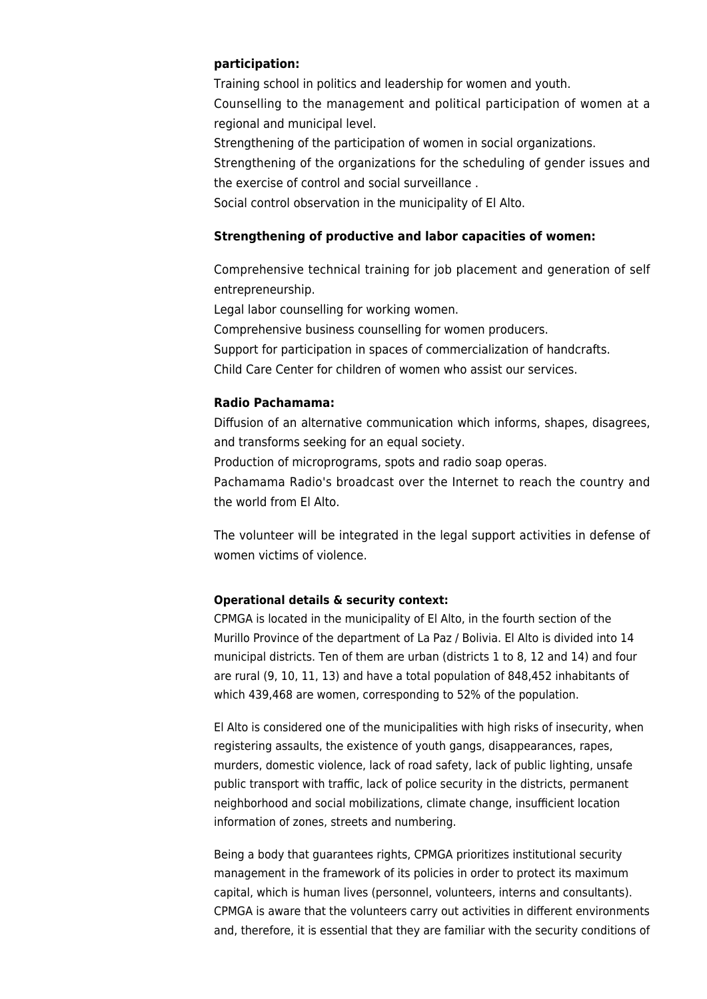### **participation:**

Training school in politics and leadership for women and youth. Counselling to the management and political participation of women at a regional and municipal level.

Strengthening of the participation of women in social organizations.

Strengthening of the organizations for the scheduling of gender issues and the exercise of control and social surveillance .

Social control observation in the municipality of El Alto.

## **Strengthening of productive and labor capacities of women:**

Comprehensive technical training for job placement and generation of self entrepreneurship.

Legal labor counselling for working women. Comprehensive business counselling for women producers. Support for participation in spaces of commercialization of handcrafts. Child Care Center for children of women who assist our services.

### **Radio Pachamama:**

Diffusion of an alternative communication which informs, shapes, disagrees, and transforms seeking for an equal society.

Production of microprograms, spots and radio soap operas.

Pachamama Radio's broadcast over the Internet to reach the country and the world from El Alto.

The volunteer will be integrated in the legal support activities in defense of women victims of violence.

# **Operational details & security context:**

CPMGA is located in the municipality of El Alto, in the fourth section of the Murillo Province of the department of La Paz / Bolivia. El Alto is divided into 14 municipal districts. Ten of them are urban (districts 1 to 8, 12 and 14) and four are rural (9, 10, 11, 13) and have a total population of 848,452 inhabitants of which 439,468 are women, corresponding to 52% of the population.

El Alto is considered one of the municipalities with high risks of insecurity, when registering assaults, the existence of youth gangs, disappearances, rapes, murders, domestic violence, lack of road safety, lack of public lighting, unsafe public transport with traffic, lack of police security in the districts, permanent neighborhood and social mobilizations, climate change, insufficient location information of zones, streets and numbering.

Being a body that guarantees rights, CPMGA prioritizes institutional security management in the framework of its policies in order to protect its maximum capital, which is human lives (personnel, volunteers, interns and consultants). CPMGA is aware that the volunteers carry out activities in different environments and, therefore, it is essential that they are familiar with the security conditions of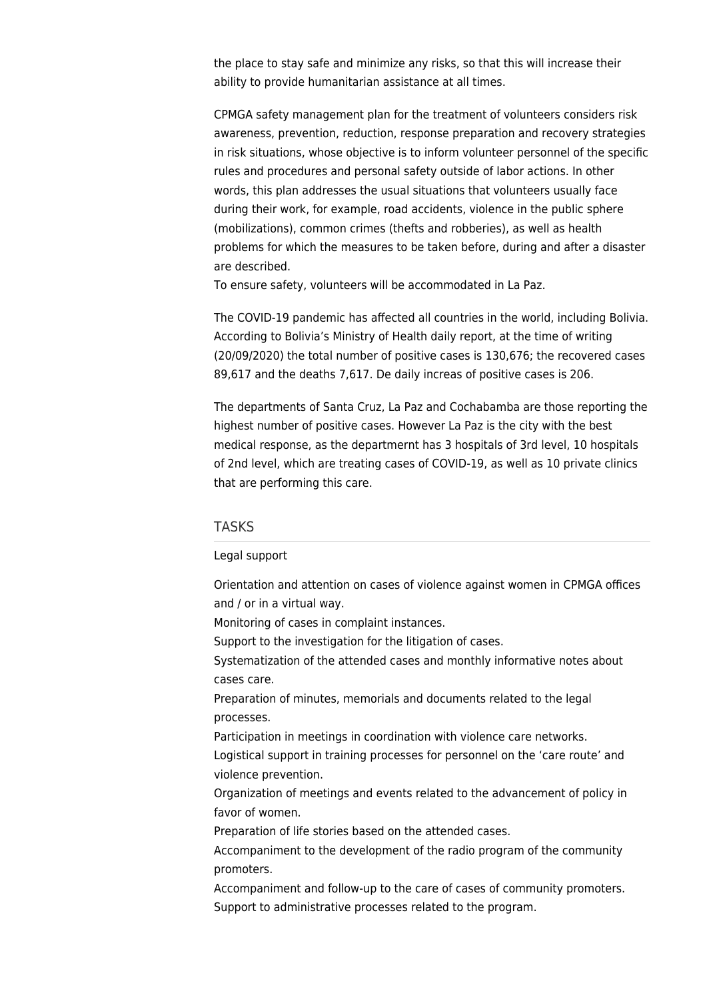the place to stay safe and minimize any risks, so that this will increase their ability to provide humanitarian assistance at all times.

CPMGA safety management plan for the treatment of volunteers considers risk awareness, prevention, reduction, response preparation and recovery strategies in risk situations, whose objective is to inform volunteer personnel of the specific rules and procedures and personal safety outside of labor actions. In other words, this plan addresses the usual situations that volunteers usually face during their work, for example, road accidents, violence in the public sphere (mobilizations), common crimes (thefts and robberies), as well as health problems for which the measures to be taken before, during and after a disaster are described.

To ensure safety, volunteers will be accommodated in La Paz.

The COVID-19 pandemic has affected all countries in the world, including Bolivia. According to Bolivia's Ministry of Health daily report, at the time of writing (20/09/2020) the total number of positive cases is 130,676; the recovered cases 89,617 and the deaths 7,617. De daily increas of positive cases is 206.

The departments of Santa Cruz, La Paz and Cochabamba are those reporting the highest number of positive cases. However La Paz is the city with the best medical response, as the departmernt has 3 hospitals of 3rd level, 10 hospitals of 2nd level, which are treating cases of COVID-19, as well as 10 private clinics that are performing this care.

### TASKS

#### Legal support

Orientation and attention on cases of violence against women in CPMGA offices and / or in a virtual way.

Monitoring of cases in complaint instances.

Support to the investigation for the litigation of cases.

Systematization of the attended cases and monthly informative notes about cases care.

Preparation of minutes, memorials and documents related to the legal processes.

Participation in meetings in coordination with violence care networks. Logistical support in training processes for personnel on the 'care route' and

violence prevention.

Organization of meetings and events related to the advancement of policy in favor of women.

Preparation of life stories based on the attended cases.

Accompaniment to the development of the radio program of the community promoters.

Accompaniment and follow-up to the care of cases of community promoters. Support to administrative processes related to the program.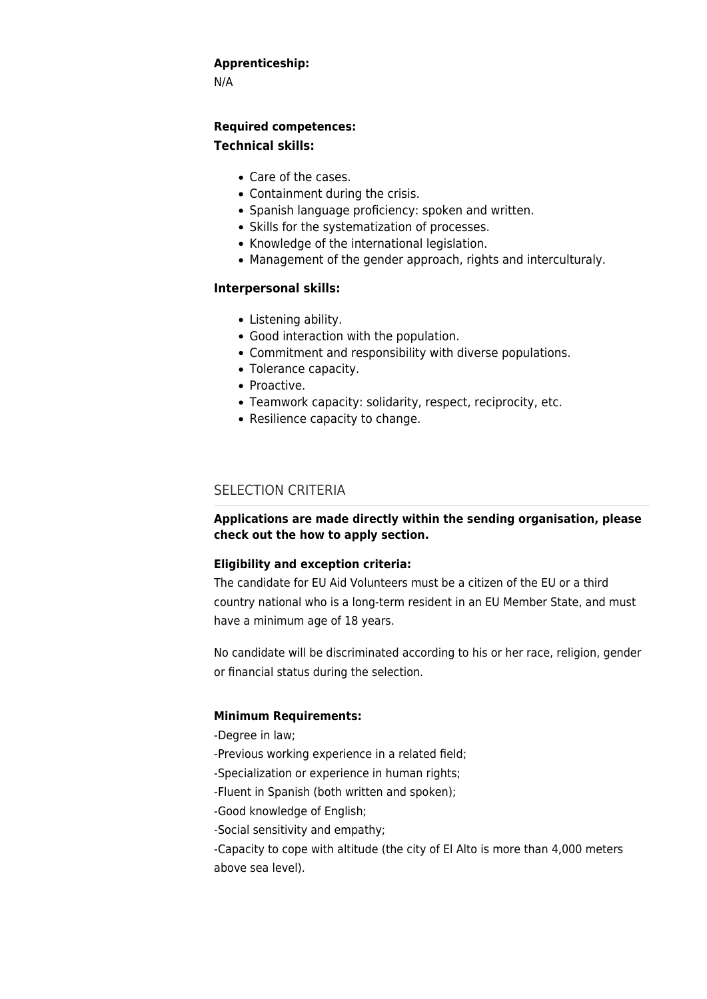### **Apprenticeship:**

N/A

# **Required competences: Technical skills:**

- Care of the cases.
- Containment during the crisis.
- Spanish language proficiency: spoken and written.
- Skills for the systematization of processes.
- Knowledge of the international legislation.
- Management of the gender approach, rights and interculturaly.

# **Interpersonal skills:**

- Listening ability.
- Good interaction with the population.
- Commitment and responsibility with diverse populations.
- Tolerance capacity.
- Proactive.
- Teamwork capacity: solidarity, respect, reciprocity, etc.
- Resilience capacity to change.

# SELECTION CRITERIA

# **Applications are made directly within the sending organisation, please check out the [how to apply](https://webgate.ec.europa.eu/echo/eu-aid-volunteers_en/how-apply_en) section.**

# **Eligibility and exception criteria:**

The candidate for EU Aid Volunteers must be a citizen of the EU or a third country national who is a long-term resident in an EU Member State, and must have a minimum age of 18 years.

No candidate will be discriminated according to his or her race, religion, gender or financial status during the selection.

# **Minimum Requirements:**

-Degree in law;

- -Previous working experience in a related field;
- -Specialization or experience in human rights;
- -Fluent in Spanish (both written and spoken);
- -Good knowledge of English;
- -Social sensitivity and empathy;
- -Capacity to cope with altitude (the city of El Alto is more than 4,000 meters above sea level).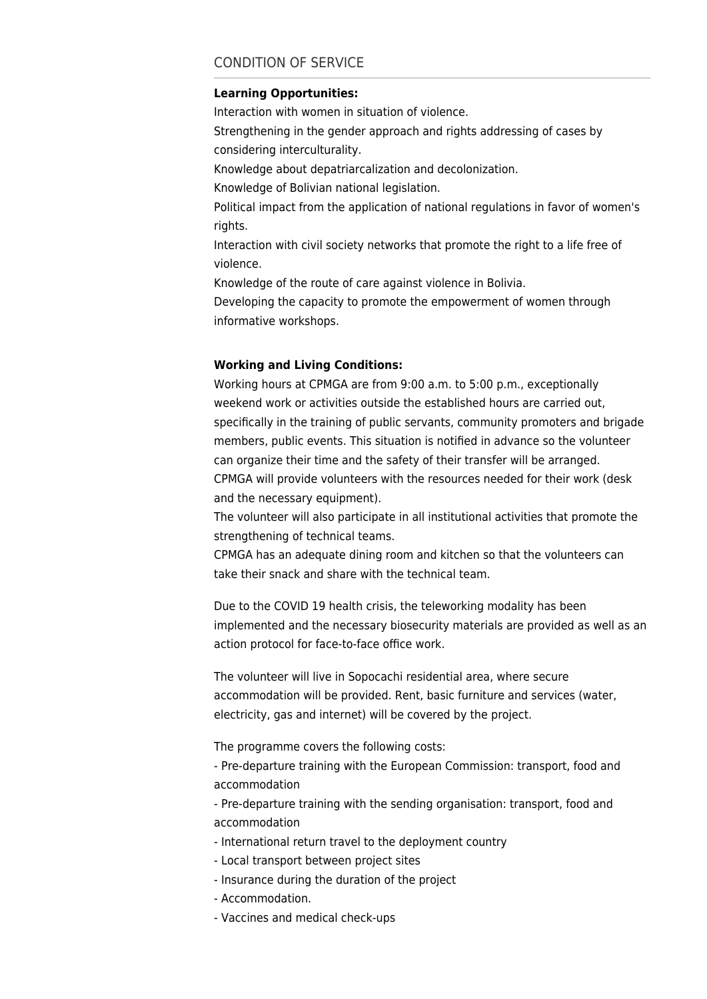# CONDITION OF SERVICE

#### **Learning Opportunities:**

Interaction with women in situation of violence. Strengthening in the gender approach and rights addressing of cases by considering interculturality. Knowledge about depatriarcalization and decolonization. Knowledge of Bolivian national legislation. Political impact from the application of national regulations in favor of women's rights. Interaction with civil society networks that promote the right to a life free of violence. Knowledge of the route of care against violence in Bolivia. Developing the capacity to promote the empowerment of women through informative workshops.

#### **Working and Living Conditions:**

Working hours at CPMGA are from 9:00 a.m. to 5:00 p.m., exceptionally weekend work or activities outside the established hours are carried out, specifically in the training of public servants, community promoters and brigade members, public events. This situation is notified in advance so the volunteer can organize their time and the safety of their transfer will be arranged. CPMGA will provide volunteers with the resources needed for their work (desk and the necessary equipment).

The volunteer will also participate in all institutional activities that promote the strengthening of technical teams.

CPMGA has an adequate dining room and kitchen so that the volunteers can take their snack and share with the technical team.

Due to the COVID 19 health crisis, the teleworking modality has been implemented and the necessary biosecurity materials are provided as well as an action protocol for face-to-face office work.

The volunteer will live in Sopocachi residential area, where secure accommodation will be provided. Rent, basic furniture and services (water, electricity, gas and internet) will be covered by the project.

The programme covers the following costs:

- Pre-departure training with the European Commission: transport, food and accommodation

- Pre-departure training with the sending organisation: transport, food and accommodation

- International return travel to the deployment country
- Local transport between project sites
- Insurance during the duration of the project
- Accommodation.
- Vaccines and medical check-ups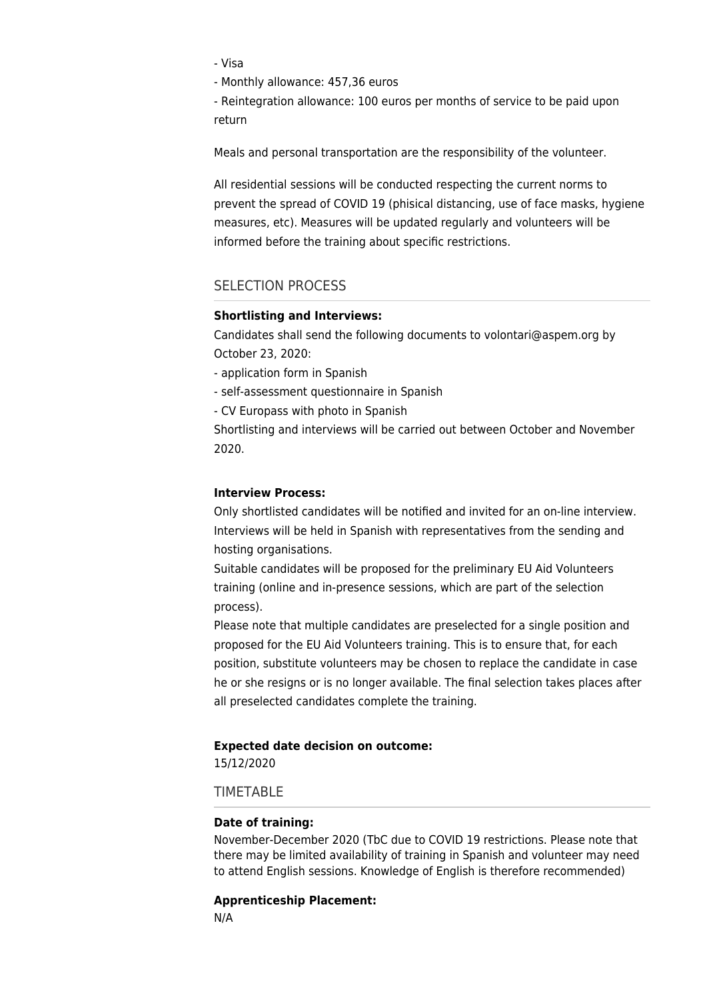- Visa

- Monthly allowance: 457,36 euros

- Reintegration allowance: 100 euros per months of service to be paid upon return

Meals and personal transportation are the responsibility of the volunteer.

All residential sessions will be conducted respecting the current norms to prevent the spread of COVID 19 (phisical distancing, use of face masks, hygiene measures, etc). Measures will be updated regularly and volunteers will be informed before the training about specific restrictions.

# SELECTION PROCESS

#### **Shortlisting and Interviews:**

Candidates shall send the following documents to [volontari@aspem.org](mailto:volontari@aspem.org) by October 23, 2020:

- application form in Spanish

- self-assessment questionnaire in Spanish
- CV Europass with photo in Spanish

Shortlisting and interviews will be carried out between October and November 2020.

#### **Interview Process:**

Only shortlisted candidates will be notified and invited for an on-line interview. Interviews will be held in Spanish with representatives from the sending and hosting organisations.

Suitable candidates will be proposed for the preliminary EU Aid Volunteers training (online and in-presence sessions, which are part of the selection process).

Please note that multiple candidates are preselected for a single position and proposed for the EU Aid Volunteers training. This is to ensure that, for each position, substitute volunteers may be chosen to replace the candidate in case he or she resigns or is no longer available. The final selection takes places after all preselected candidates complete the training.

#### **Expected date decision on outcome:**

15/12/2020

### TIMETABLE

#### **Date of training:**

November-December 2020 (TbC due to COVID 19 restrictions. Please note that there may be limited availability of training in Spanish and volunteer may need to attend English sessions. Knowledge of English is therefore recommended)

#### **Apprenticeship Placement:**

N/A